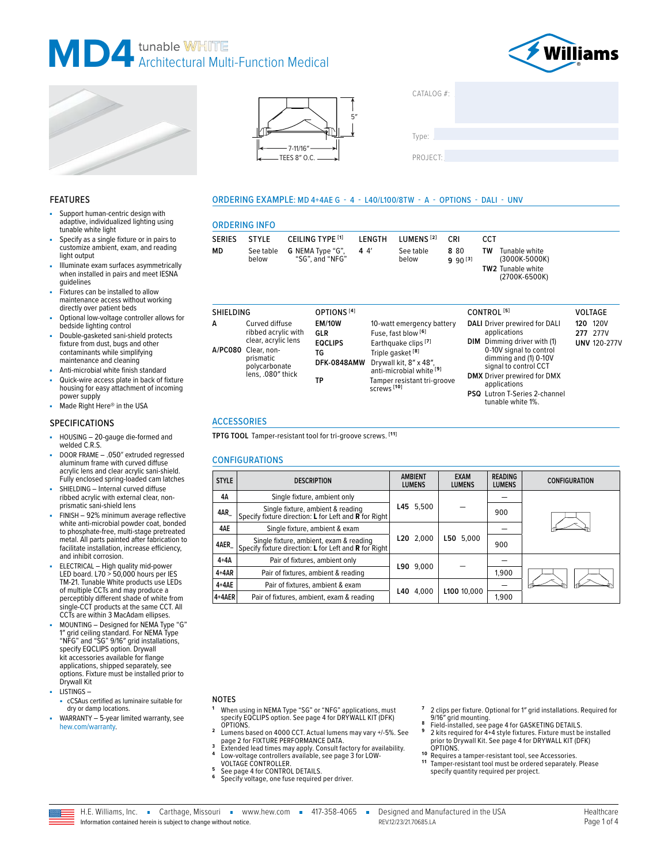







| CATALOG #: |  |  |
|------------|--|--|
|            |  |  |
| Type:      |  |  |
| PROJECT:   |  |  |

tunable white 1%.

#### FEATURES

- Support human-centric design with adaptive, individualized lighting using tunable white light
- Specify as a single fixture or in pairs to customize ambient, exam, and reading light output
- Illuminate exam surfaces asymmetrically when installed in pairs and meet IESNA guidelines
- Fixtures can be installed to allow maintenance access without working directly over patient beds
- Optional low-voltage controller allows for bedside lighting control
- Double-gasketed sani-shield protects fixture from dust, bugs and other contaminants while simplifying maintenance and cleaning
- Anti-microbial white finish standard Quick-wire access plate in back of fixture
- housing for easy attachment of incoming power supply Made Right Here® in the USA

#### SPECIFICATIONS

- HOUSING 20-gauge die-formed and welded C.R.S.
- DOOR FRAME .050" extruded regressed aluminum frame with curved diffuse acrylic lens and clear acrylic sani-shield. Fully enclosed spring-loaded cam latches
- SHIELDING Internal curved diffuse ribbed acrylic with external clear, nonprismatic sani-shield lens
- FINISH 92% minimum average reflective white anti-microbial powder coat, bonded to phosphate-free, multi-stage pretreated metal. All parts painted after fabrication to facilitate installation, increase efficiency, and inhibit corrosion.
- ELECTRICAL High quality mid-power LED board. L70 > 50,000 hours per IES TM-21. Tunable White products use LEDs of multiple CCTs and may produce a perceptibly different shade of white from single-CCT products at the same CCT. All CCTs are within 3 MacAdam ellipses.
- MOUNTING Designed for NEMA Type "G" 1″ grid ceiling standard. For NEMA Type "NFG" and "SG" 9/16″ grid installations, specify EQCLIPS option. Drywall kit accessories available for flange applications, shipped separately, see options. Fixture must be installed prior to Drywall Kit
- LISTINGS cCSAus certified as luminaire suitable for dry or damp locations.
- $WARRANTY 5-year$  limited warranty, see [hew.com/warranty.](https://www.hew.com/resources/warranty-and-terms)

# 5″

#### ORDERING EXAMPLE: MD 4+4AE G - 4 - L40/L100/8TW - A - OPTIONS - DALI - UNV

# ORDERING INFO

|               | <b>ORDERING INFO</b> |                                                      |        |                       |                     |     |                                                                             |  |
|---------------|----------------------|------------------------------------------------------|--------|-----------------------|---------------------|-----|-----------------------------------------------------------------------------|--|
| <b>SERIES</b> | <b>STYLE</b>         | CEILING TYPE [1]                                     | LENGTH | LUMENS <sup>[2]</sup> | CRI                 | CCT |                                                                             |  |
| MD            | below                | See table <b>G NEMA Type "G",</b><br>"SG", and "NFG" | 44     | See table<br>below    | 880<br>$9.90^{[3]}$ | TW  | Tunable white<br>(3000K-5000K)<br><b>TW2</b> Tunable white<br>(2700K-6500K) |  |

| <b>SHIELDING</b> |                                                                                                                                        | OPTIONS <sup>[4]</sup>                                            |                                                                                                                                                                                                                                               | CONTROL <sup>[5]</sup>                                                                                                                                                                                                                                  | <b>VOLTAGE</b>                                     |
|------------------|----------------------------------------------------------------------------------------------------------------------------------------|-------------------------------------------------------------------|-----------------------------------------------------------------------------------------------------------------------------------------------------------------------------------------------------------------------------------------------|---------------------------------------------------------------------------------------------------------------------------------------------------------------------------------------------------------------------------------------------------------|----------------------------------------------------|
| A                | Curved diffuse<br>ribbed acrylic with<br>clear, acrylic lens<br>A/PC080 Clear, non-<br>prismatic<br>polycarbonate<br>lens, .080" thick | <b>EM/10W</b><br>GLR<br><b>EQCLIPS</b><br>TG<br>DFK-0848AMW<br>ΤP | 10-watt emergency battery<br>Fuse, fast blow <sup>[6]</sup><br>Earthquake clips <sup>[7]</sup><br>Triple gasket <sup>[8]</sup><br>Drywall kit, 8" x 48",<br>anti-microbial white [9]<br>Tamper resistant tri-groove<br>screws <sup>[10]</sup> | DALI Driver prewired for DALI<br>applications<br>DIM Dimming driver with (1)<br>0-10V signal to control<br>dimming and (1) 0-10V<br>signal to control CCT<br><b>DMX</b> Driver prewired for DMX<br>applications<br><b>PSQ</b> Lutron T-Series 2-channel | <b>120 120V</b><br>277 277V<br><b>UNV 120-277V</b> |

## ACCESSORIES

**TPTG TOOL** Tamper-resistant tool for tri-groove screws. **[11]**

#### CONFIGURATIONS

| <b>STYLE</b> | <b>DESCRIPTION</b>                                                                               | <b>AMBIENT</b><br><b>LUMENS</b> | <b>EXAM</b><br><b>LUMENS</b> | <b>READING</b><br><b>LUMENS</b> | <b>CONFIGURATION</b> |
|--------------|--------------------------------------------------------------------------------------------------|---------------------------------|------------------------------|---------------------------------|----------------------|
| 4Α           | Single fixture, ambient only                                                                     |                                 |                              |                                 |                      |
| 4AR          | Single fixture, ambient & reading<br>Specify fixture direction: L for Left and R for Right       | L45 5,500                       |                              | 900                             |                      |
| 4AE          | Single fixture, ambient & exam                                                                   |                                 |                              |                                 |                      |
| 4AER         | Single fixture, ambient, exam & reading<br>Specify fixture direction: L for Left and R for Right | L20 2.000                       | L50 5,000                    | 900                             |                      |
| $4+4A$       | Pair of fixtures, ambient only                                                                   | L90 9.000                       |                              |                                 |                      |
| $4+4AR$      | Pair of fixtures, ambient & reading                                                              |                                 |                              | 1.900                           |                      |
| $4+4AE$      | Pair of fixtures, ambient & exam                                                                 |                                 |                              |                                 |                      |
| 4+4AER       | Pair of fixtures, ambient, exam & reading                                                        | L40<br>4.000                    | L100 10.000                  | 1.900                           |                      |

#### NOTES

- **<sup>1</sup>** When using in NEMA Type "SG" or "NFG" applications, must specify EQCLIPS option. [See page 4 for DRYWALL KIT \(DFK\)](#page-3-0)
- [OPTIONS.](#page-3-0) **<sup>2</sup>** Lumens based on 4000 CCT. Actual lumens may vary +/-5%. [See](#page-1-0)
- [page 2 for FIXTURE PERFORMANCE DATA.](#page-1-0) **3**<br>**2** Extended lead times may apply. Consult factory for availability.<br>**4** Low-voltage controllers available, see page 3 for LOW-<br>**4** VOLTAGE CONTROLLER.
- 
- <sup>5</sup> [See page 4 for CONTROL DETAILS.](#page-3-1)<br><sup>6</sup> Specify voltage, one fuse required per driver.
- 
- **<sup>7</sup>** 2 clips per fixture. Optional for 1″ grid installations. Required for
- <sup>8</sup> Field-installed, [see page 4 for GASKETING DETAILS](#page-3-2).<br><sup>8</sup> Pield-installed, see page 4 for GASKETING DETAILS.<br><sup>9</sup> 2 kits required for 4+4 style fixtures. Fixture must be installed<br>prior to Drywall Kit. See page 4 for DRYWA
- [OPTIONS.](#page-3-0) **1 0** Requires a tamper-resistant tool, see Accessories. **1 1** Tamper-resistant tool must be ordered separately. Please specify quantity required per project.

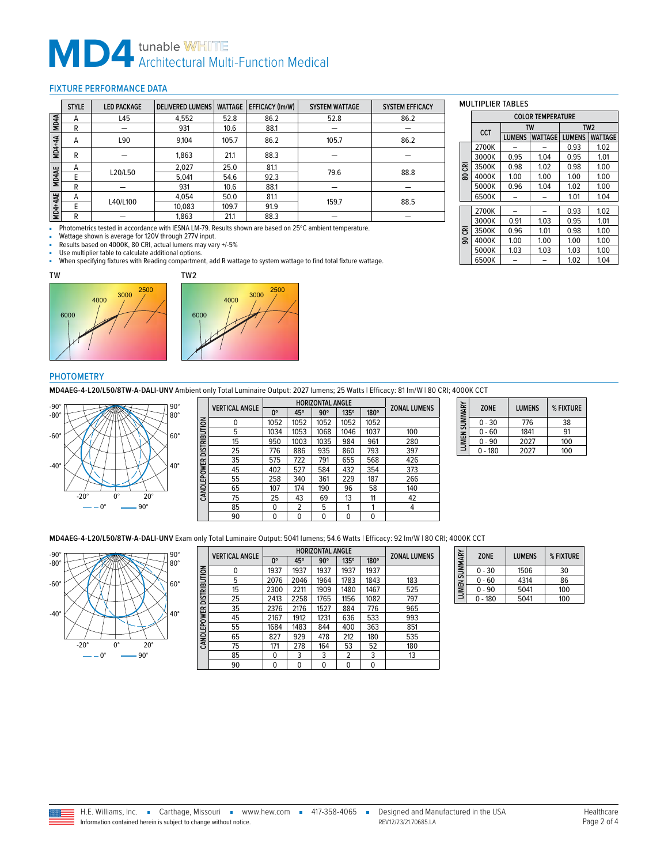# **MD4** tunable WHITE<br>Architectural Multi-Function Medical

### <span id="page-1-0"></span>FIXTURE PERFORMANCE DATA

|               | <b>STYLE</b> | <b>LED PACKAGE</b> | <b>DELIVERED LUMENS</b> | <b>WATTAGE</b> | EFFICACY (Im/W) | <b>SYSTEM WATTAGE</b> | <b>SYSTEM EFFICACY</b> |
|---------------|--------------|--------------------|-------------------------|----------------|-----------------|-----------------------|------------------------|
| MD4A          | А            | L45                | 4,552                   | 52.8           | 86.2            | 52.8                  | 86.2                   |
|               | R            |                    | 931                     | 10.6           | 88.1            |                       |                        |
| <b>MD4+4A</b> | A            | L90                | 9.104                   | 105.7          | 86.2            | 105.7                 | 86.2                   |
|               | R            |                    | 1,863                   | 21.1           | 88.3            |                       |                        |
|               | A            | L20/L50            | 2.027                   | 25.0           | 81.1            | 79.6                  | 88.8                   |
| <b>MD4AE</b>  |              |                    | 5,041                   | 54.6           | 92.3            |                       |                        |
|               | R            |                    | 931                     | 10.6           | 88.1            |                       |                        |
|               | A            | L40/L100           | 4.054                   | 50.0           | 81.1            | 159.7                 | 88.5                   |
| MD4+4AE       | E            |                    | 10,083                  | 109.7          | 91.9            |                       |                        |
|               | R            |                    | 1,863                   | 21.1           | 88.3            |                       |                        |

- Photometrics tested in accordance with IESNA LM-79. Results shown are based on 25°C ambient temperature.

Wattage shown is average for 120V through 277V input.

■ Results based on 4000K, 80 CRI, actual lumens may vary +/-5%<br>■ Use multiplier table to calculate additional options.

■ Use multiplier table to calculate additional options.<br>■ When specifying fixtures with Reading compartment

When specifying fixtures with Reading compartment, add R wattage to system wattage to find total fixture wattage.





#### PHOTOMETRY

**MD4AEG-4-L20/L50/8TW-A-DALI-UNV** Ambient only Total Luminaire Output: 2027 lumens; 25 Watts | Efficacy: 81 lm/W | 80 CRI; 4000K CCT



|                     | <b>VERTICAL ANGLE</b> | <b>HORIZONTAL ANGLE</b> |      |            |             |      |                     |  |
|---------------------|-----------------------|-------------------------|------|------------|-------------|------|---------------------|--|
|                     |                       | $0^{\circ}$             | 45°  | $90^\circ$ | $135^\circ$ | 180° | <b>ZONAL LUMENS</b> |  |
|                     | 0                     | 1052                    | 1052 | 1052       | 1052        | 1052 |                     |  |
| <b>DISTRIBUTION</b> | 5                     | 1034                    | 1053 | 1068       | 1046        | 1037 | 100                 |  |
|                     | 15                    | 950                     | 1003 | 1035       | 984         | 961  | 280                 |  |
|                     | 25                    | 776                     | 886  | 935        | 860         | 793  | 397                 |  |
|                     | 35                    | 575                     | 722  | 791        | 655         | 568  | 426                 |  |
|                     | 45                    | 402                     | 527  | 584        | 432         | 354  | 373                 |  |
|                     | 55                    | 258                     | 340  | 361        | 229         | 187  | 266                 |  |
| CANDLEPOWER         | 65                    | 107                     | 174  | 190        | 96          | 58   | 140                 |  |
|                     | 75                    | 25                      | 43   | 69         | 13          | 11   | 42                  |  |
|                     | 85                    | $\mathbf{0}$            | 2    | 5          | 1           | 1    | 4                   |  |
|                     | 90                    | 0                       | 0    | 0          | 0           | 0    |                     |  |
|                     |                       |                         |      |            |             |      |                     |  |

| LUMEN SUMMARY | <b>ZONE</b> | <b>I UMENS</b> | % FIXTURF |
|---------------|-------------|----------------|-----------|
|               | $0 - 30$    | 776            | 38        |
|               | 0 - 60      | 1841           | 91        |
|               | $0 - 90$    | 2027           | 100       |
|               | 180         | 2027           | 100       |

**MD4AEG-4-L20/L50/8TW-A-DALI-UNV** Exam only Total Luminaire Output: 5041 lumens; 54.6 Watts | Efficacy: 92 lm/W | 80 CRI; 4000K CCT



|                     | <b>VERTICAL ANGLE</b> | $0^{\circ}$ | 45°  | $90^\circ$   | 135° | 180°         | <b>ZONAL LUMENS</b> |
|---------------------|-----------------------|-------------|------|--------------|------|--------------|---------------------|
|                     | 0                     | 1937        | 1937 | 1937         | 1937 | 1937         |                     |
|                     | 5                     | 2076        | 2046 | 1964         | 1783 | 1843         | 183                 |
|                     | 15                    | 2300        | 2211 | 1909         | 1480 | 1467         | 525                 |
| <b>DISTRIBUTION</b> | 25                    | 2413        | 2258 | 1765         | 1156 | 1082         | 797                 |
|                     | 35                    | 2376        | 2176 | 1527         | 884  | 776          | 965                 |
|                     | 45                    | 2167        | 1912 | 1231         | 636  | 533          | 993                 |
| CANDLEPOWER         | 55                    | 1684        | 1483 | 844          | 400  | 363          | 851                 |
|                     | 65                    | 827         | 929  | 478          | 212  | 180          | 535                 |
|                     | 75                    | 171         | 278  | 164          | 53   | 52           | 180                 |
|                     | 85                    | 0           | 3    | 3            | 2    | 3            | 13                  |
|                     | 90                    | 0           | 0    | $\mathbf{0}$ | 0    | $\mathbf{0}$ |                     |

| LUMEN SUMMARY | <b>ZONE</b> | <b>LUMENS</b> | % FIXTURE |
|---------------|-------------|---------------|-----------|
|               | 0 - 30      | 1506          | 30        |
|               | 0 - 60      | 4314          | 86        |
|               | $0 - 90$    | 5041          | 100       |
|               | 180         | 5041          | 100       |

### MULTIPLIER TABLES

|                | MULIIPLIER IABLES                          |               |                |               |                |  |  |
|----------------|--------------------------------------------|---------------|----------------|---------------|----------------|--|--|
|                | <b>COLOR TEMPERATURE</b>                   |               |                |               |                |  |  |
|                | TW <sub>2</sub><br><b>TW</b><br><b>CCT</b> |               |                |               |                |  |  |
|                |                                            | <b>LUMENS</b> | <b>WATTAGE</b> | <b>LUMENS</b> | <b>WATTAGE</b> |  |  |
|                | 2700K                                      |               |                | 0.93          | 1.02           |  |  |
|                | 3000K                                      | 0.95          | 1.04           | 0.95          | 1.01           |  |  |
| 품              | 3500K                                      | 0.98          | 1.02           | 0.98          | 1.00           |  |  |
| $\overline{8}$ | 4000K                                      | 1.00          | 1.00           | 1.00          | 1.00           |  |  |
|                | 5000K                                      | 0.96          | 1.04           | 1.02          | 1.00           |  |  |
|                | 6500K                                      |               |                | 1.01          | 1.04           |  |  |
|                |                                            |               |                |               |                |  |  |
|                | 2700K                                      |               |                | 0.93          | 1.02           |  |  |
|                | 3000K                                      | 0.91          | 1.03           | 0.95          | 1.01           |  |  |
| 90 CRI         | 3500K                                      | 0.96          | 1.01           | 0.98          | 1.00           |  |  |
|                | 4000K                                      | 1.00          | 1.00           | 1.00          | 1.00           |  |  |
|                | 5000K                                      | 1.03          | 1.03           | 1.03          | 1.00           |  |  |
|                | 6500K                                      |               |                | 1.02          | 1.04           |  |  |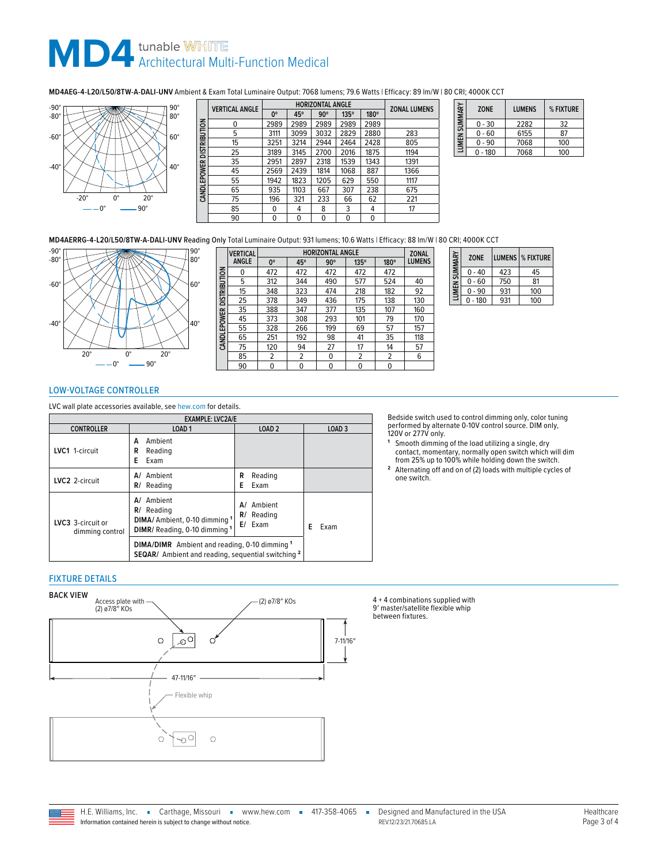# **MD4** tunable WHITE<br>Architectural Multi-Function Medical

**MD4AEG-4-L20/L50/8TW-A-DALI-UNV** Ambient & Exam Total Luminaire Output: 7068 lumens; 79.6 Watts | Efficacy: 89 lm/W | 80 CRI; 4000K CCT



|                           | <b>VERTICAL ANGLE</b> |      | <b>HORIZONTAL ANGLE</b> | <b>ZONAL LUMENS</b> |             |              |      |
|---------------------------|-----------------------|------|-------------------------|---------------------|-------------|--------------|------|
|                           |                       | 0°   | 45°                     | $90^\circ$          | $135^\circ$ | 180°         |      |
|                           | 0                     | 2989 | 2989                    | 2989                | 2989        | 2989         |      |
|                           | 5                     | 3111 | 3099                    | 3032                | 2829        | 2880         | 283  |
| CAND LEPOWER DISTRIBUTION | 15                    | 3251 | 3214                    | 2944                | 2464        | 2428         | 805  |
|                           | 25                    | 3189 | 3145                    | 2700                | 2016        | 1875         | 1194 |
|                           | 35                    | 2951 | 2897                    | 2318                | 1539        | 1343         | 1391 |
|                           | 45                    | 2569 | 2439                    | 1814                | 1068        | 887          | 1366 |
|                           | 55                    | 1942 | 1823                    | 1205                | 629         | 550          | 1117 |
|                           | 65                    | 935  | 1103                    | 667                 | 307         | 238          | 675  |
|                           | 75                    | 196  | 321                     | 233                 | 66          | 62           | 221  |
|                           | 85                    | 0    | 4                       | 8                   | 3           | 4            | 17   |
|                           | 90                    | 0    | 0                       | 0                   | 0           | $\mathbf{0}$ |      |
|                           |                       |      |                         |                     |             |              |      |

| <b>LUMEN SUMMARY</b> | <b>ZONE</b> | <b>LUMENS</b> | % FIXTURE |
|----------------------|-------------|---------------|-----------|
|                      | $0 - 30$    | 2282          | 32        |
|                      | $0 - 60$    | 6155          | 87        |
|                      | $0 - 90$    | 7068          | 100       |
|                      | - 180       | 7068          | 100       |

**MD4AERRG-4-L20/L50/8TW-A-DALI-UNV** Reading Only Total Luminaire Output: 931 lumens; 10.6 Watts | Efficacy: 88 lm/W | 80 CRI; 4000K CCT



|                          | <b>VERTICAL</b> | <b>HORIZONTAL ANGLE</b> |     |            |                |      | <b>ZONAL</b>  |
|--------------------------|-----------------|-------------------------|-----|------------|----------------|------|---------------|
|                          | ANGLE           | $0^{\circ}$             | 45° | $90^\circ$ | 135°           | 180° | <b>LUMENS</b> |
|                          | 0               | 472                     | 472 | 472        | 472            | 472  |               |
|                          | 5               | 312                     | 344 | 490        | 577            | 524  | 40            |
| CANDLEPOWER DISTRIBUTION | 15              | 348                     | 323 | 474        | 218            | 182  | 92            |
|                          | 25              | 378                     | 349 | 436        | 175            | 138  | 130           |
|                          | 35              | 388                     | 347 | 377        | 135            | 107  | 160           |
|                          | 45              | 373                     | 308 | 293        | 101            | 79   | 170           |
|                          | 55              | 328                     | 266 | 199        | 69             | 57   | 157           |
|                          | 65              | 251                     | 192 | 98         | 41             | 35   | 118           |
|                          | 75              | 120                     | 94  | 27         | 17             | 14   | 57            |
|                          | 85              | 2                       | 2   | 0          | $\overline{2}$ | 2    | 6             |
|                          | 90              | 0                       | 0   | 0          | 0              | 0    |               |

| SUMMAR | <b>ZONE</b> |     | LUMENS   % FIXTURE |  |  |  |
|--------|-------------|-----|--------------------|--|--|--|
|        | $0 - 40$    | 423 | 45                 |  |  |  |
|        | $0 - 60$    | 750 | 81                 |  |  |  |
| LUMEN  | $0 - 90$    | 931 | 100                |  |  |  |
|        | - 180       | 931 | 100                |  |  |  |

# <span id="page-2-0"></span>LOW-VOLTAGE CONTROLLER

LVC wall plate accessories available, see [hew.com](https://www.hew.com/specifications/LVCWP.pdf) for details.

| <b>EXAMPLE: LVC2A/E</b>              |                                                                                                                       |                                             |                   |  |  |
|--------------------------------------|-----------------------------------------------------------------------------------------------------------------------|---------------------------------------------|-------------------|--|--|
| <b>CONTROLLER</b>                    | LOAD <sub>1</sub>                                                                                                     | LOAD <sub>2</sub>                           | LOAD <sub>3</sub> |  |  |
| LVC1 1-circuit                       | Ambient<br>А<br>R<br>Reading<br>E<br>Exam                                                                             |                                             |                   |  |  |
| LVC <sub>2</sub> 2-circuit           | Ambient<br>A/<br>Reading<br>R/                                                                                        | Reading<br>R<br>F<br>Exam                   |                   |  |  |
| LVC3 3-circuit or<br>dimming control | Ambient<br>A/<br>$R/$ Reading<br>DIMA/ Ambient, 0-10 dimming 1<br>DIMR/ Reading, 0-10 dimming 1                       | Ambient<br>A/<br>R/<br>Reading<br>$E/$ Exam | F<br>Exam         |  |  |
|                                      | <b>DIMA/DIMR</b> Ambient and reading, 0-10 dimming 1<br>SEQAR/ Ambient and reading, sequential switching <sup>2</sup> |                                             |                   |  |  |

Bedside switch used to control dimming only, color tuning performed by alternate 0-10V control source. DIM only, 120V or 277V only.

**<sup>1</sup>** Smooth dimming of the load utilizing a single, dry contact, momentary, normally open switch which will dim from 25% up to 100% while holding down the switch.

**<sup>2</sup>** Alternating off and on of (2) loads with multiple cycles of one switch.

#### FIXTURE DETAILS



4 + 4 combinations supplied with 9' master/satellite flexible whip between fixtures.